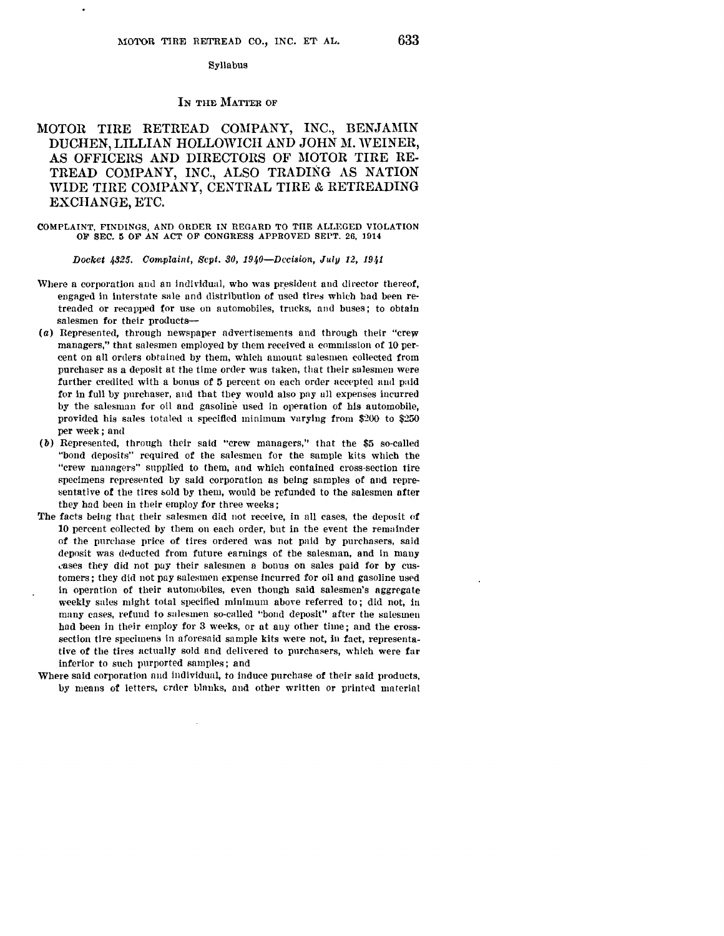### Syllabus

### IN THE MATTER OF

# MOTOR TIRE RETREAD COMPANY, INC., BENJAMIN DUCHEN, LILLIAN HOLLOWICH AND JOHN M. WEINER, AS OFFICERS AND DIRECTORS OF MOTOR TIRE RE-TREAD COMPANY, INC., ALSO TRADING AS NATION WIDE TIRE COMPANY, CENTRAL TIRE & RETREADING EXCHANGE, ETC.

### COMPLAINT, FINDINGS, AND ORDER IN REGARD TO THE ALLEGED VIOLATION OF SEC. 5 OF AN ACT OF CONGRESS APPROVED SEPT. 26, 1914

Docket  $4325$ . Complaint, Sept. 30, 1940-Decision, July 12, 1941

- Where a corporation and an individual, who was president and director thereof, engaged in interstnte sale nnd distribution of used tires which bad been retreaded or recnpped for use on automobiles, trucks, and buses; to obtain salesmen for their products--
- (a) Represented, through newspaper advertisements and through their "crew managers," that salesmen employed by them received n commission of 10 percent on all orders obtained by them, which amount salesmen collected from purchaser as a deposit at the time order was taken, that their salesmen were further credited with a bonus of 5 percent on each order accepted and paid for in full by purchaser, and that they would also pay ull expenses incurred by the salesman for oil and gasoline used in operation of bis automobile, provided his sales totaled a specified minimum varying from \$200 to \$250 per week; and
- (b) Represented, through their said "crew managers," that the \$5 so-called "bond deposits" required of the salesmen for the sample kits which the "crew managers" supplied to them, and which contained cross-section tire specimens represented by said corporation as being samples of and representative of the tires sold by them, would be refunded to the salesmen after they had been in their employ for three weeks;
- The facts being that their salesmen did not receive, in all cases, the deposit of 10 percent collected by them on each order, but in the event the remainder of the purchase price of tires ordered was not paid by purchasers, said deposit was deducted from future earnings of the salesman, and in many cases they did not pay their salesmen a bonus on sales paid for by customers; they did not pay salesmen expense incurred for oil and gasoline used in operation of their automobiles, even though said salesmen's aggregate weekly sales might total specified minimum above referred to; did not, in many cases, refund to salesmen so-called "bond deposit" after the salesmen had been in their employ for 3 weeks, or at any other time; and the crosssection tire specimens in aforesaid sample kits were not, in fact, representative of the tires nctually sold and delivered to purchasers, which were far inferior to such purported samples ; and
- Where said corporation and individual, to induce purchase of their said products, by means of letters, crder blanks, and other written or printed material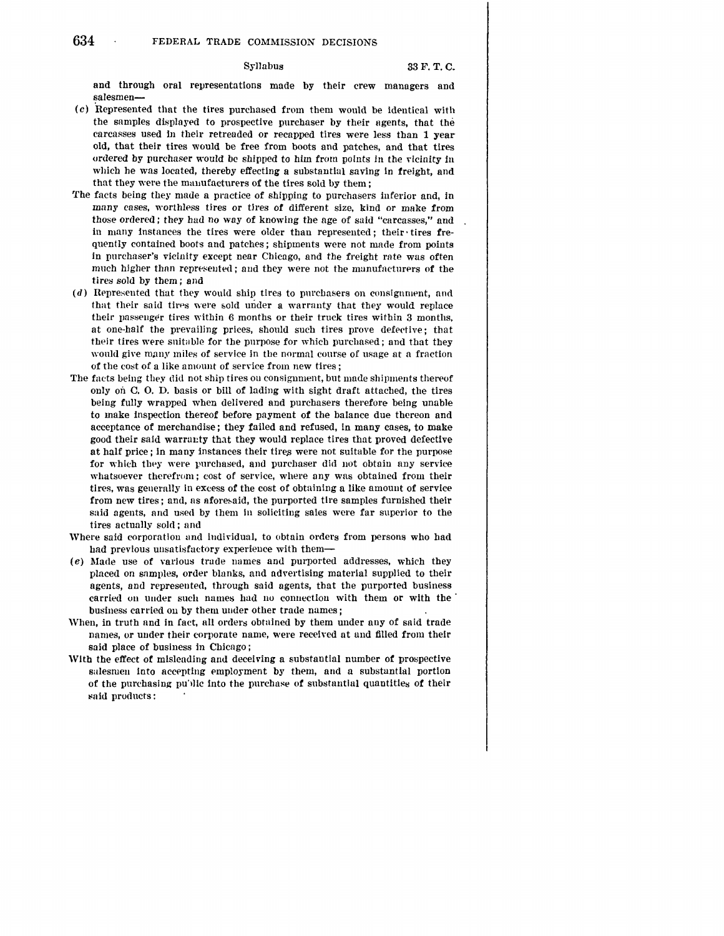# Syllabus 33 F. T. C.

and through oral representations made by their crew managers and salesmen-

- $(c)$  Represented that the tires purchased from them would be identical with the samples displayed to prospective purchaser by their agents, that the carcasses used in their retreaded or recapped tires were less than 1 year old, that their tires would be free from boots and patches, and that tires ordered by purchaser would be shipped to him from points in the vicinity in which he was located, thereby effecting a substantial saving in freight, and that they were the manufacturers of the tires sold by them;
- 'fhe facts being they mnde a practice of shipping to purchasers inferior and, in many cases, worthless tires or tires of different size, kind or make from those ordered; they had no way of knowing the age of said "carcasses," and in many instances the tires were older than represented; their• tires **fre**quently contained boots and patches; shipments were not made from points in purchaser's vicinity except near Chicago, and the freight rate was often much higher than represented; and they were not the manufacturers of the tires sold by them; and
- $(d)$  Represented that they would ship tires to purchasers on consignment, and that their said tires were sold under a warranty that they would replace their passeuger tires within 6 months or their truck tires within 3 months, at one-half the prevailing prices, should such tires prove defective; that their tires were suitable for the purpose for which purchased; and that they would give many miles of service in the normal course of usage at a fraction of the cost of a like amount of service from new tires;
- The facts being they did not ship tires ou consignment, but made shipments thereof only on C. O. D. basis or bill of lading with sight draft attached, the tires being fully wrapped when delivered and purchasers therefore being unable to make inspection thereof before payment **of** the balance due thereon and acceptance of merchandise ; they failed and refused, in many cases, to make good their said warrai:ty that they would replace tires that proved defective at half price; in many instances their tires were not suitable for the purpose for which they were purchased, and purchaser did not obtain any service whatsoever therefrom; cost of service, where any was obtained from their tires, was generally in excess of the cost of obtaining a like amount of service from new tires; and, as aforesaid, the purported tire samples furnished their said agents, and used by them In soliciting sales were far superior to the tires actually sold; and
- Where said corporation and individual, to obtain orders from persons who had had previous unsatisfactory experience with them-
- (e) Made use of various trude names and purported addresses, which they placed on samples, order blanks, and advertising material supplied to their agents, and represented, through said agents, that the purported business carried on under such names had no connection with them or with the business carried on by them under other trade names;
- When, in truth and in fact, all orders obtained by them under any of said trade names, or under their corporate name, were received at und filled from their said place of business in Chicago ;
- With the effect of misleading and deceiving a substantial number of prospective salesmen into accepting employment by them, and a substantial portion of the purchasing public into the purchase of substantial quantities of their said products: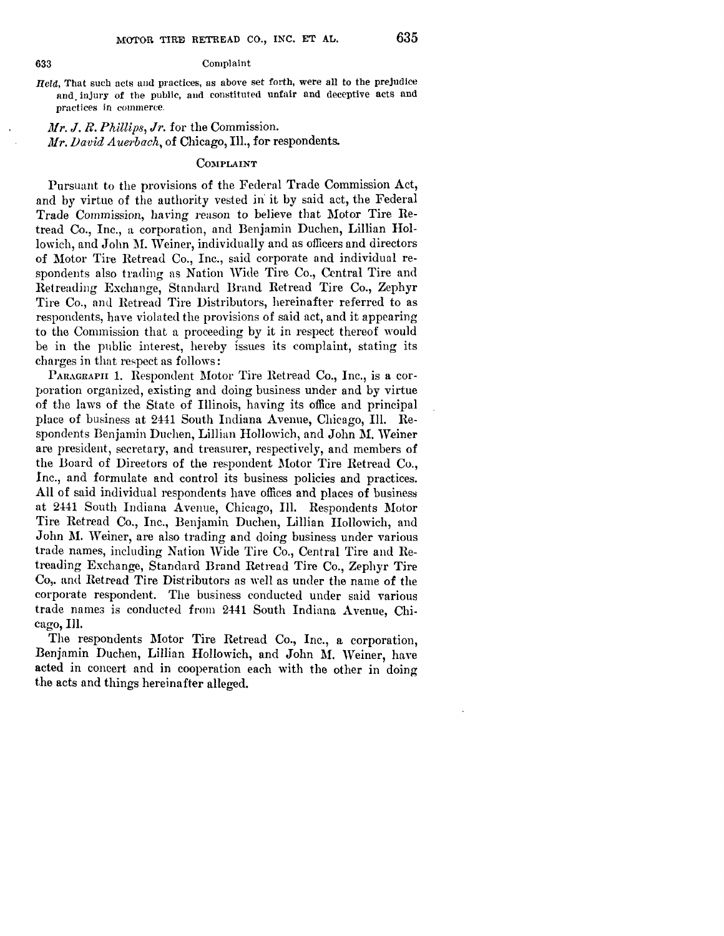### 633 Complaint

*Held,* That such acts and practices, as above set forth, were all to tbe prejudice nnd. injury of the public, and constituted unfair and deceptive acts and practices in commerce.

*Mr. J. R. Phillips, Jr.* for the Commission. *Mr. David Auerbach,* of Chicago, Ill., for respondents.

# COMPLAINT

Pursuant to the provisions of the Federal Trade Commission Act, and by virtue of the authority vested in· it by said act, the Federal Trade Commission, having reason to believe that Motor Tire Retread Co., Inc., a corporation, and Benjamin Duchen, Lillian Hollowich, and John M. Weiner, individually and as officers and directors of Motor Tire Retread Co., Inc., said corporate and individual respondents also trading as Nation Wide Tire Co., Central Tire and Retreading Rxchange, Starnlard Brand Retread Tire Co., Zephyr Tire Co., and Retread Tire Distributors, hereinafter referred to as respondents, have violated the provisions of said act, and it appearing to the Commission that a proceeding by it in respect thereof would be in the public interest, hereby issues its complaint, stating its charges in that respect as follows:

PARAGRAPII 1. Respondent Motor Tire Retread Co., Inc., is a corporation organized, existing and doing business under and by virtue of the laws of the State of Illinois, having its office and principal place of business at 2441 South Indiana Avenue, Chicago, Ill. Respondents Benjamin Duehen, Lillian Hollowich, and John **1\1.** Weiner are president, secretary, and treasurer, respectively, and members of the Board of Directors of the respondent Motor Tire Retread Co., Inc., and formulate and control its business policies and practices. **All** of said individual respondents have offices and places of business at 2441 South Indiana Avenue, Chicago, Ill. Respondents Motor Tire Retread Co., Inc., Benjamin Duchen, Lillian Hollowich, and John M. Weiner, are also trading and doing business under various trade names, including Nation Wide Tire Co., Central Tire and Retreading Exchange, Standard Brand Retread Tire Co., Zephyr Tire Co,. and Retread Tire Distributors as well as under the name of the corporate respondent. The business conducted under said various trade names is conducted from 2441 South Indiana Avenue, Chicago, Ill.

The respondents Motor Tire Retread Co., Inc., a corporation, Benjamin Duchen, Lillian Hollowich, and John M. Weiner, have acted in concert and in cooperation each with the other in doing the acts and things hereinafter alleged.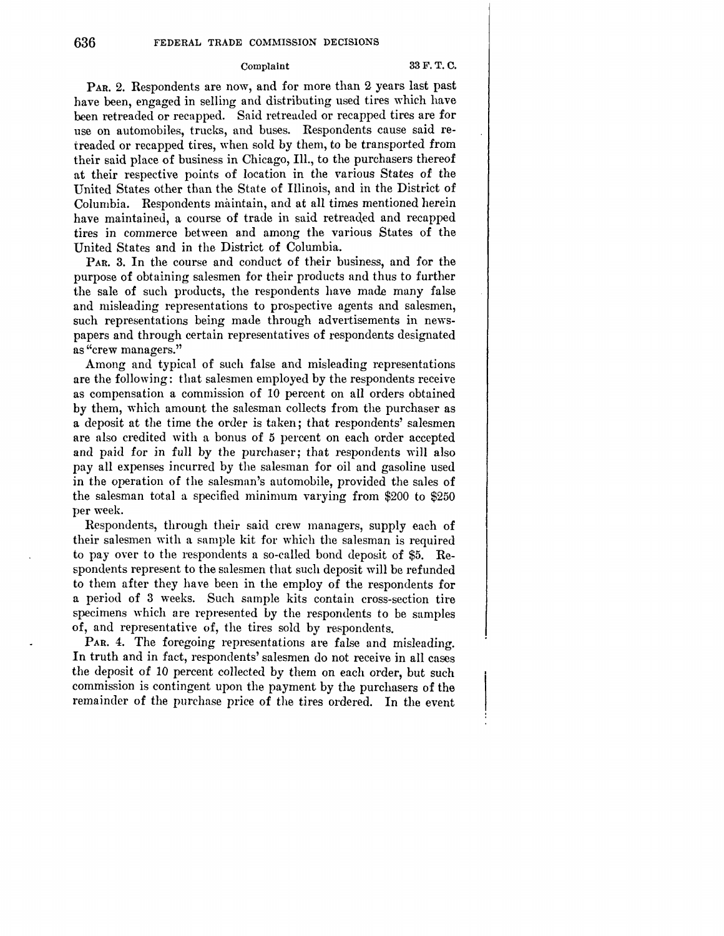# Complaint 33 F.T.C.

PAR. 2. Respondents are now, and for more than 2 years last past have been, engaged in selling and distributing used tires which have been retreaded or recapped. Said retreaded or recapped tires are for use on automobiles, trucks, and buses. Respondents cause said retreaded or recapped tires, when sold by them, to be transported from their said place of business in Chicago, Ill., to the purchasers thereof at their respective points of location in the various States of the United States other than the State of Illinois, and in the District of Columbia. Respondents maintain, and at all times mentioned herein have maintained, a course of trade in said retreaded and recapped tires in commerce between and among the various States of the United States and in the District of Columbia.

**PAR.** 3. In the course and conduct of their business, and for the purpose of obtaining salesmen for their products and thus to further the sale of such products, the respondents have made many false and misleading representations to prospective agents and salesmen, such representations being made through advertisements in newspapers and through certain representatives of respondents designated as "crew managers."

Among and typical of such false and misleading representations are the following: that salesmen employed by the respondents receive as compensation a commission of 10 percent on all orders obtained by them, which amount the salesman collects from the purchaser as a deposit at the time the order is taken; that respondents' salesmen are also credited with a bonus of 5 percent on each order accepted and paid for in full by the purchaser; that respondents will also pay all expenses incurred by the salesman for oil and gasoline used in the operation of the salesman's automobile, provided the sales of the salesman total a specified minimum varying from \$200 to \$250 per week.

Respondents, through their said crew managers, supply each of their salesmen with a sample kit for which the salesman is required to pay over to the respondents a so-called bond deposit of \$5. Respondents represent to the salesmen that such deposit will be refunded to them after they have been in the employ of the respondents for a period of 3 weeks. Such sample kits contain cross-section tire specimens which are represented by the respondents *to* be samples of, and representative of, the tires sold by respondents.

PAR. 4. The foregoing representations are false and misleading. In truth and in fact, respondents' salesmen do not receive in all cases the deposit of 10 percent collected by them on each order, but such commission is contingent upon the payment by the purchasers of the remainder of the purchase price of the tires ordered. In the event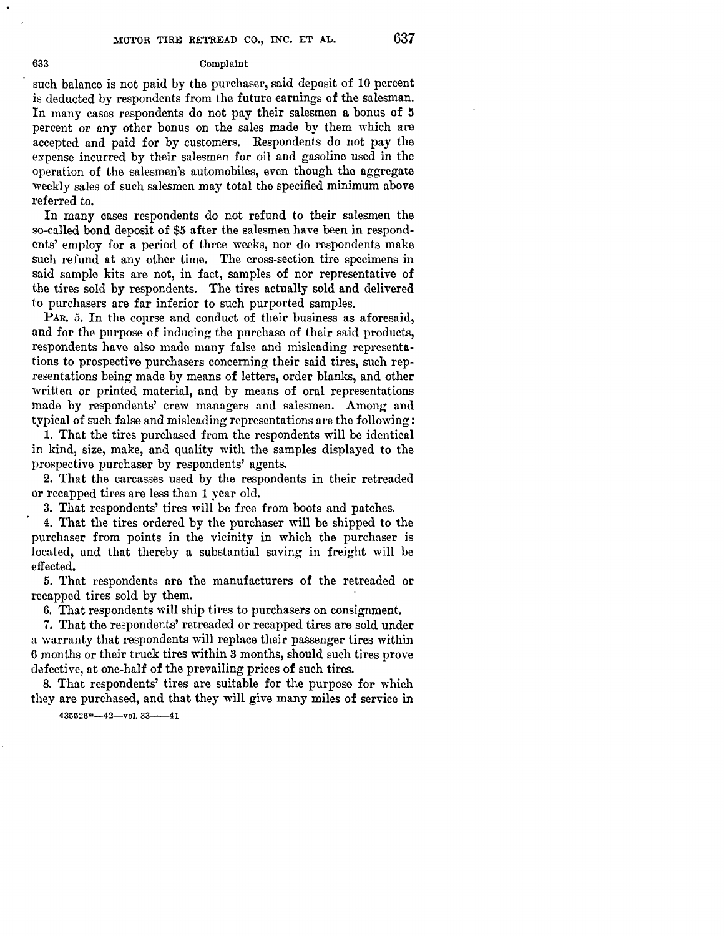### 633 Complaint

such balance is not paid by the purchaser, said deposit of 10 percent is deducted by respondents from the future earnings of the salesman. In many cases respondents do not pay their salesmen a bonus of 5 percent or any other bonus on the sales made by them which are accepted and paid for by customers. Respondents do not pay the expense incurred by their salesmen for oil and gasoline used in the operation of the salesmen's automobiles, even though the aggregate weekly sales of such salesmen may total the specified minimum above referred to.

In many cases respondents do not refund to their salesmen the so-called bond deposit of \$5 after the salesmen have been in respondents' employ for a period of three weeks, nor do respondents make such refund at any other time. The cross-section tire specimens in said sample kits are not, in fact, samples of nor representative of the tires sold by respondents. The tires actually sold and delivered to purchasers are far inferior to such purported samples.

PAR. 5. In the course and conduct of their business as aforesaid, and for the purpose of inducing the purchase of their said products, respondents have also made many false and misleading representations to prospective purchasers concerning their said tires, such representations being made by means of letters, order blanks, and other written or printed material, and by means of oral representations made by respondents' crew managers and salesmen. Among and typical of such false and misleading representations are the following:

1. That the tires purchased from the respondents will be identical in kind, size, make, and quality with the samples displayed to the prospective purchaser by respondents' agents.

2. That the carcasses used by the respondents in their retreaded or recapped tires are less than 1 year old.

3. That respondents' tires will be free from boots and patches.

4. That the tires ordered by the purchaser will be shipped to the purchaser from points in the vicinity in which the purchaser is located, and that thereby a substantial saving in freight will be effected.

5. That respondents are the manufacturers of the retreaded or recapped tires sold by them.

6. That respondents will ship tires to purchasers on consignment.

7. That the respondents' retreaded or recapped tires are sold under a warranty that respondents will replace their passenger tires within 6 months or their truck tires within 3 months, should such tires prove defective, at one-half of the prevailing prices of such tires.

8. That respondents' tires are suitable for the purpose for which they are purchased, and that they will give many miles of service in

 $435526m-42-v01.33---41$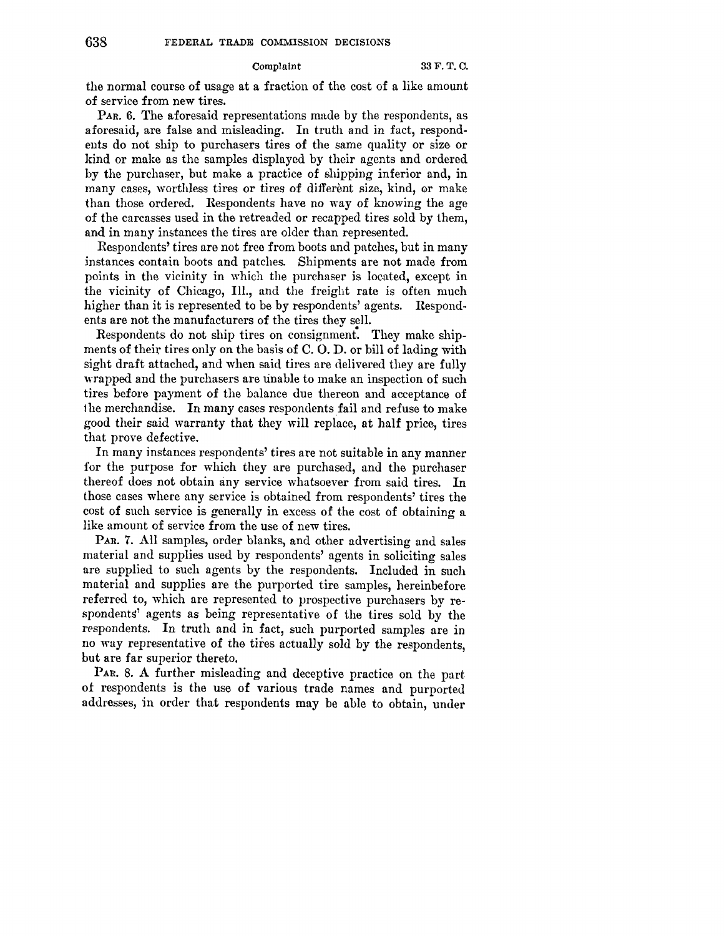## Complaint 33 F. T. C.

the normal course of usage at a fraction of the cost of a like amount of service from new tires.

PAR. 6. The aforesaid representations made by the respondents, as aforesaid, are false and misleading. In truth and in fact, respondents do not ship to purchasers tires of the same quality or size or kind or make as the samples displayed by their agents and ordered by the purchaser, but make a practice of shipping inferior and, in many cases, worthless tires or tires of different size, kind, or make than those ordered. Respondents have no way of knowing the age of the carcasses used in the retreaded or recapped tires sold by them, and in many instances the tires are older than represented.

Respondents' tires are not free from boots and patches, but in many instances contain boots and patches. Shipments are not made from points in the vicinity in which the purchaser is located, except in the vicinity of Chicago, Ill., and the freight rate is often much higher than it is represented to be by respondents' agents. Respondents are not the manufacturers of the tires they sell.

Respondents do not ship tires on consignment. They make shipments of their tires only on the basis of C. 0. D. or bill of lading with sight draft attached, and when said tires are delivered they are fully wrapped and the purchasers are unable to make an inspection of such tires before payment of the balance due thereon and acceptance of the merchandise. In many cases respondents fail and refuse to make good their said warranty that they will replace, at half price, tires that prove defective.

In many instances respondents' tires are not suitable in any manner for the purpose for which they are purchased, and the purchaser thereof does not obtain any service whatsoever from said tires. In those cases where any service is obtained from respondents' tires the cost of such service is generally in excess of the cost of obtaining a like amount of service from the use of new tires.

**PAR. 7. All** samples, order blanks, and other advertising and sales material and supplies used by respondents' agents in soliciting sales are supplied to such agents by the respondents. Included in such material and supplies are the purported tire samples, hereinbefore referred to, which are represented to prospective purchasers by respondents' agents as being representative of the tires sold by the respondents. In truth and in fact, such purported samples are in no way representative of the tires actually sold by the respondents, but are far superior thereto.

PAR. 8. A further misleading and deceptive practice on the part of respondents is the use of various trade names and purported addresses, in order that respondents may be able to obtain, under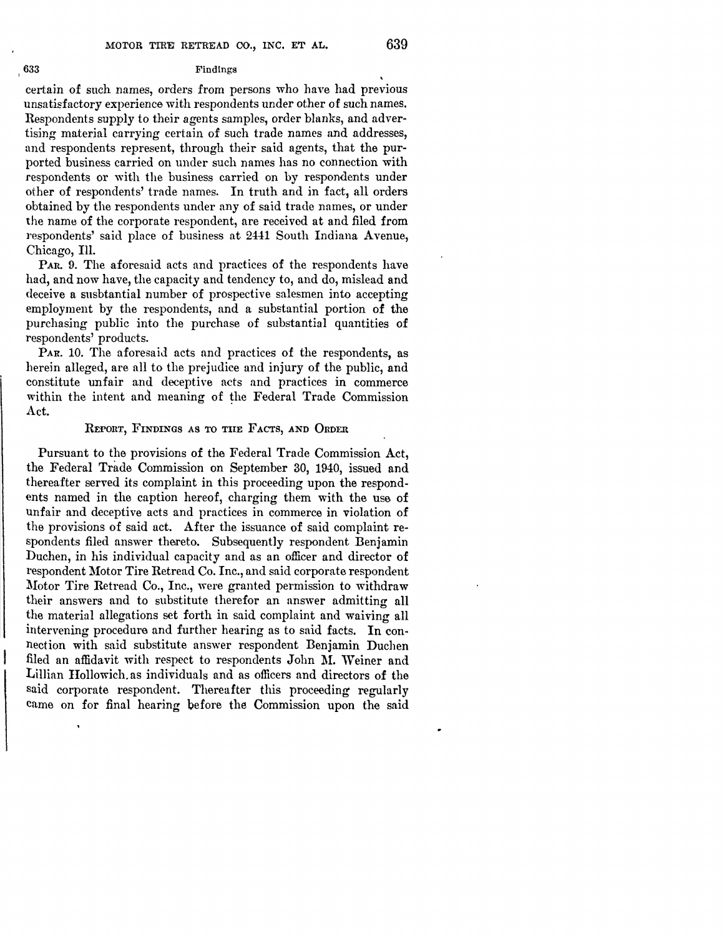certain 0£ such names, orders from persons who have had previous unsatisfactory experience with respondents under other of such names. Respondents supply to their agents samples, order blanks, and advertising material carrying certain of such trade names and addresses, and respondents represent, through their said agents, that the purported business carried on under such names has no connection with respondents or with the business carried on by respondents under other 0£ respondents' trade names. In truth and in fact, all orders obtained by the respondents under any of said trade names, or under the name of the corporate respondent, are received at and filed from respondents' said place of business at 2441 South Indiana Avenue, Chicago, Ill.

PAR. 9. The aforesaid acts and practices of the respondents have had, and now have, the capacity and tendency to, and do, mislead and deceive a susbtantial number of prospective salesmen into accepting employment by the respondents, and a substantial portion of the purchasing public into the purchase of substantial quantities of respondents' products.

PAR. 10. The aforesaid acts and practices of the respondents, as herein alleged, are all to the prejudice and injury of the public, and constitute unfair and deceptive acts and practices in commerce within the intent and meaning of the Federal Trade Commission Act.

# REPORT, FINDINGS AS TO TUE FACTS, AND ORDER

Pursuant to the provisions of the Federal Trade Commission Act, the Federal Trade Commission on September 30, 1940, issued and thereafter served its complaint in this proceeding upon the respondents named in the caption hereof, charging them with the use of unfair and deceptive acts and practices in commerce in violation of the provisions of said act. After the issuance of said complaint respondents filed answer thereto. Subsequently respondent Benjamin Duchen, in his individual capacity and as an officer and director of respondent Motor Tire Retread Co. Inc., and said corporate respondent Motor Tire Retread Co., Inc., were granted permission to withdraw their answers und to substitute therefor an answer admitting all the material allegations set forth in said complaint and waiving all intervening procedure and further hearing as to said facts. In connection with said substitute answer respondent Benjamin Duchen filed an affidavit with respect to respondents John M. Weiner and Lillian Hollowich. as individuals and as officers and directors of the said corporate respondent. Thereafter this proceeding regularly came on for final hearing before the Commission upon the said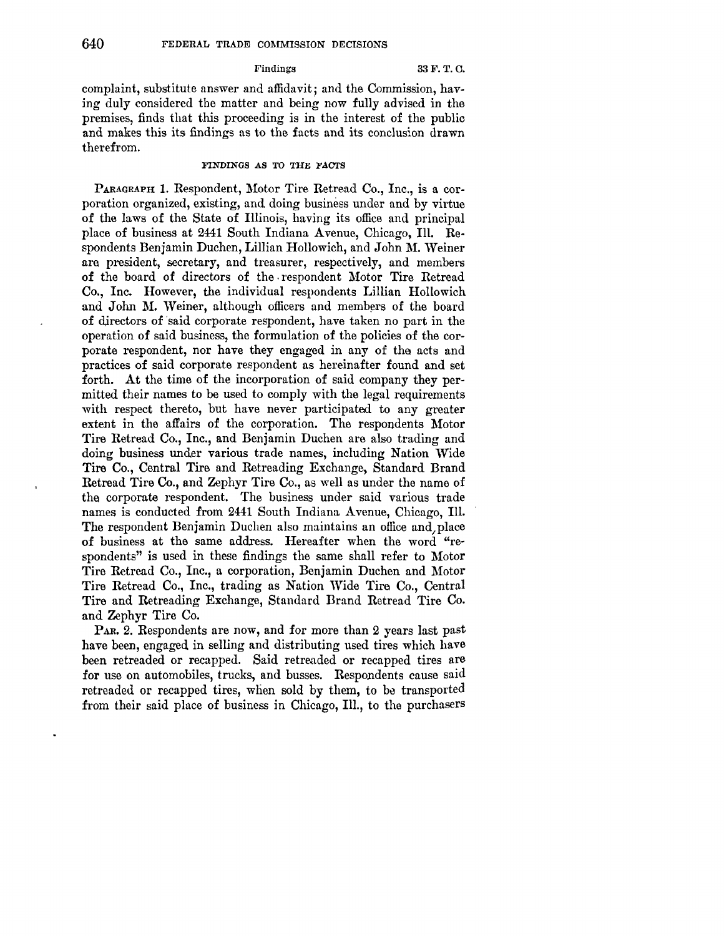### Findings 33 F.T.C.

complaint, substitute answer and affidavit; and the Commission, having duly considered the matter and being now fully advised in the premises, finds that this proceeding is in the interest of the public and makes this its findings as to the facts and its conclusion drawn therefrom.

## FINDINGS *AS* TO THE FAOTS

PARAGRAPH 1. Respondent, Motor Tire Retread Co., Inc., is a corporation organized, existing, and doing business under and by virtue of the laws of the State of Illinois, having its office and principal place of business at 2441 South Indiana A venue, Chicago, Ill. Respondents Benjamin Duchen, Lillian Hollowich, and John M. Weiner are president, secretary, and treasurer, respectively, and members of the board of directors of the. respondent Motor Tire Retread Co., Inc. However, the individual respondents Lillian Hallowich and John M. Weiner, although officers and members of the board of directors of said corporate respondent, have taken no part in the operation of said business, the formulation of the policies of the corporate respondent, nor have they engaged in any of the acts and practices of said corporate respondent as hereinafter found and set forth. At the time of the incorporation of said company they permitted their names to be used to comply with the legal requirements with respect thereto, but have never participated to any greater extent in the affairs of the corporation. The respondents Motor Tire Retread Co., Inc., and Benjamin Duchen are also trading and doing business under various trade names, including Nation Wide Tire Co., Central Tire and Retreading Exchange, Standard Brand Retread Tire Co., and Zephyr Tire Co., as well as under the name of the corporate respondent. The business under said various trade names is conducted from 2441 South Indiana Avenue, Chicago, Ill. The respondent Benjamin Duchen also maintains an office and,place **of** business at the same address. Hereafter when the word "respondents" is used in these findings the same shall refer to Motor Tire Retread Co., Inc., a corporation, Benjamin Duchen and Motor Tire Retread Co., Inc., trading as Nation Wide Tire Co., Central Tire and Retreading Exchange, Standard Brand Retread Tire Co. and Zephyr Tire Co.

PAR. 2. Respondents are now, and for more than 2 years last past have been, engaged in selling and distributing used tires which have been retreaded or recapped. Said retreaded or recapped tires are for use on automobiles, trucks, and busses. Respondents cause said retreaded or recapped tires, when sold by them, to be transported from their said place of business in Chicago, Ill., to the purchasers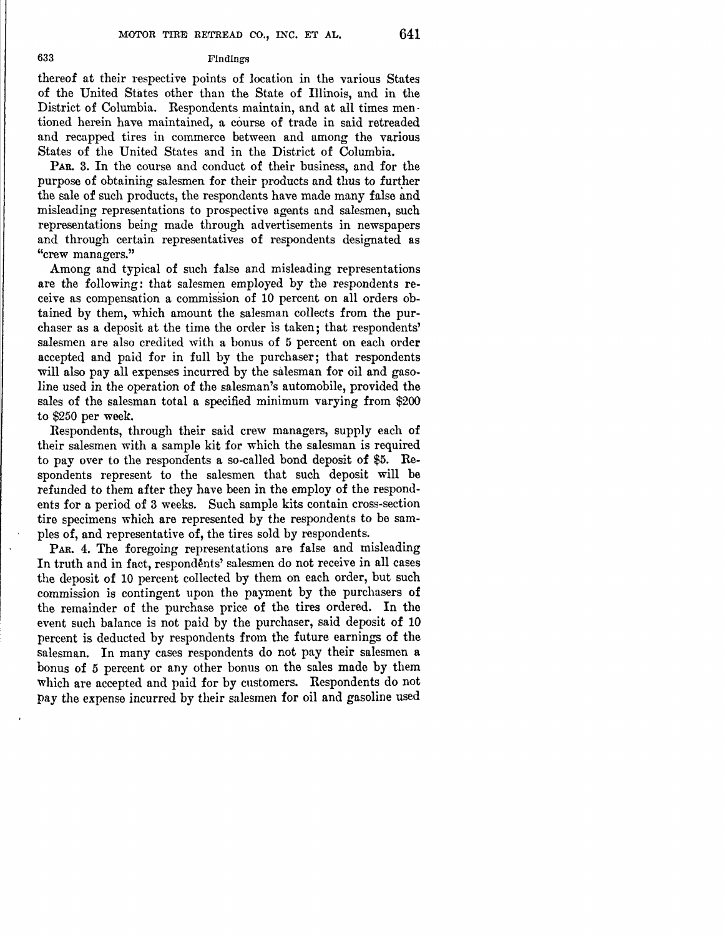# 633 Findings

thereof at their respective points of location in the various States of the United States other than the State of Illinois, and in the District of Columbia. Respondents maintain, and at all times men tioned herein have maintained, a course of trade in said retreaded and recapped tires in commerce between and among the various States of the United States and in the District of Columbia.

PAR. 3. In the course and conduct of their business, and for the purpose of obtaining salesmen for their products and thus to further the sale of such products, the respondents have made many false and misleading representations to prospective agents and salesmen, such representations being made through advertisements in newspapers and through certain representatives of respondents designated as "crew managers."

Among and typical of such false and misleading representations are the following: that salesmen employed by the respondents receive as compensation a commission of 10 percent on all orders obtained by them, which amount the salesman collects from the purchaser as a deposit at the time the order is taken; that respondents' salesmen are also credited with a bonus of 5 percent on each order accepted and paid for in full by the purchaser; that respondents will also pay all expenses incurred by the salesman for oil and gasoline used in the operation of the salesman's automobile, provided the sales of the salesman total a specified minimum varying from \$200 to \$250 per week.

Respondents, through their said crew managers, supply each of their salesmen with a sample kit for which the salesman is required to pay over to the respondents a so-called bond deposit **of** \$5. Respondents represent to the salesmen that such deposit will be refunded to them after they have been in the employ of the respondents for a period of 3 weeks. Such sample kits contain cross-section tire specimens which are represented by the respondents to be samples of, and representative of, the tires sold by respondents.

PAR. 4. The foregoing representations are false and misleading In truth and in fact, respondents' salesmen do not receive in all cases the deposit of 10 percent collected by them on each order, but such commission is contingent upon the payment by the purchasers **of**  the remainder of the purchase price of the tires ordered. In the event such balance is not paid by the purchaser, said deposit of 10 percent is deducted by respondents from the future earnings of the salesman. In many cases respondents do not pay their salesmen **a**  bonus of 5 percent or any other bonus on the sales made by them which are accepted and paid for by customers. Respondents do not pay the expense incurred by their salesmen for oil and gasoline used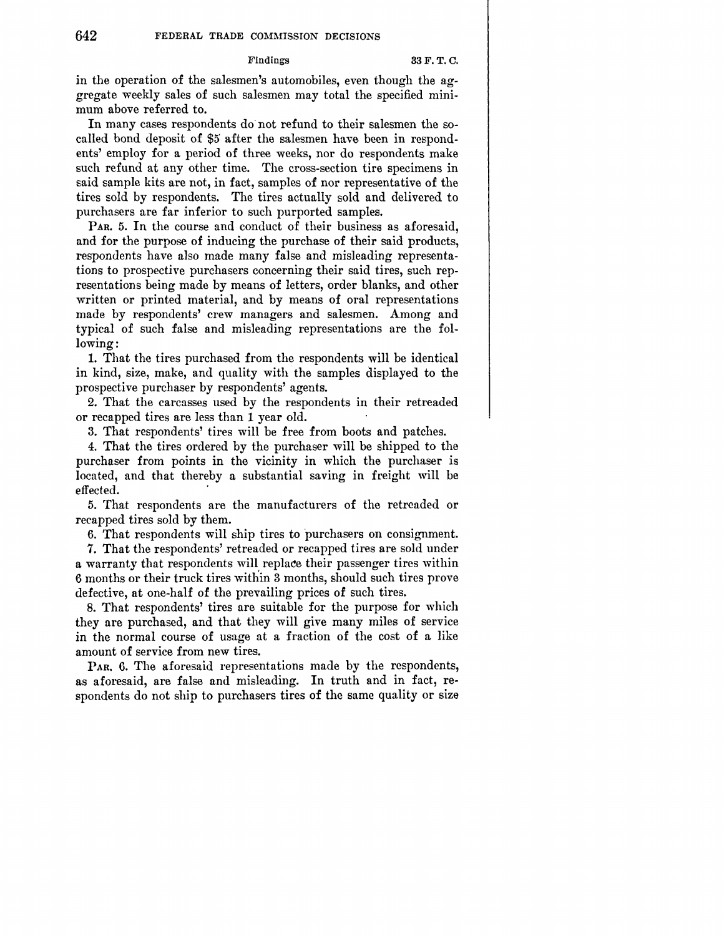### Findings 33 F.T.C.

in the operation of the salesmen's automobiles, even though the aggregate weekly sales of such salesmen may total the specified minimum above referred to.

In many cases respondents do· not refund to their salesmen the socalled bond deposit of \$5 after the salesmen have been in respondents' employ for a period of three weeks, nor do respondents make such refund at any other time. The cross-section tire specimens in said sample kits are not, in fact, samples of nor representative of the tires sold by respondents. The tires actually sold and delivered to purchasers are far inferior to such purported samples.

PAR. 5. In the course and conduct of their business as aforesaid, and for the purpose of inducing the purchase of their said products, respondents have also made many false and misleading representations to prospective purchasers concerning their said tires, such representations being made by means of letters, order blanks, and other written or printed material, and by means of oral representations made by respondents' crew managers and salesmen. Among and typical of such false and misleading representations are the following:

1. That the tires purchased from the respondents will be identical in kind, size, make, and quality with the samples displayed to the prospective purchaser by respondents' agents.

2. That the carcasses used by the respondents in their retreaded or recapped tires are less than 1 year old.

3. That respondents' tires will be free from boots and patches.

4. That the tires ordered by the purchaser will be shipped to the purchaser from points in the vicinity in which the purchaser is located, and that thereby a substantial saving in freight will be effected.

5. That respondents are the manufacturers of the retreaded or recapped tires sold by them.

6. That respondents will ship tires to purchasers on consignment.

7. That the respondents' retreaded or recapped tires are sold under a warranty that respondents will replace their passenger tires within 6 months or their truck tires witl{in 3 months, should such tires prove defective, at one-half of the prevailing prices of such tires.

8. That respondents' tires are suitable for the purpose for which they are purchased, and that they will give many miles of service in the normal course of usage at a fraction of the cost of a like amount of service from new tires.

PAR. 6. The aforesaid representations made by the respondents, as aforesaid, are false and misleading. In truth and in fact, respondents do not ship to purchasers tires of the same quality or size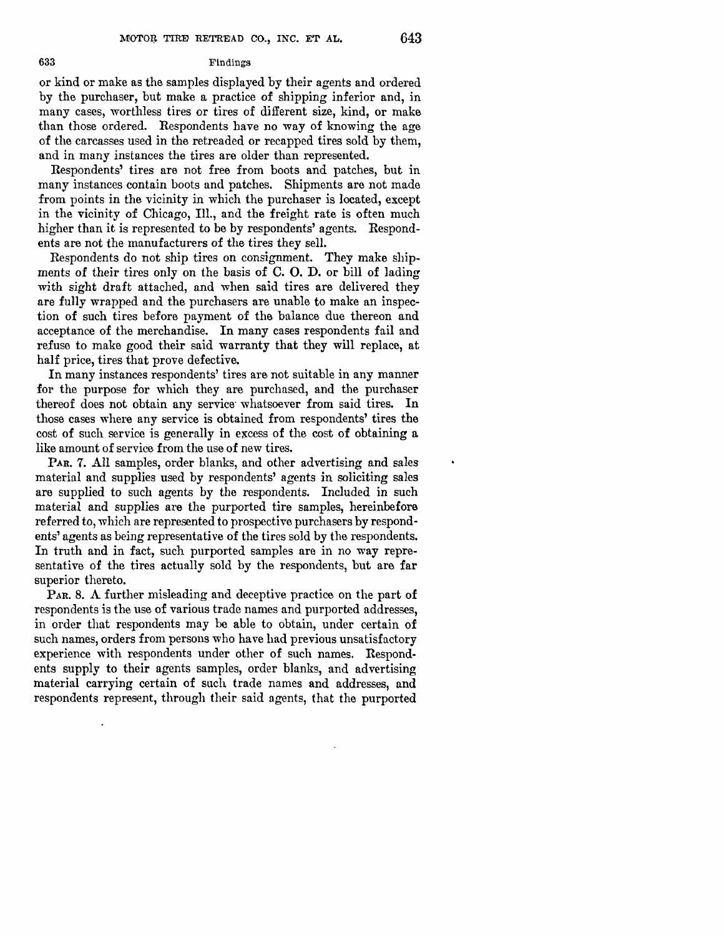### 633 Findings

or kind or make as the samples displayed by their agents and ordered by the purchaser, but make a practice of shipping inferior and, in many cases, worthless tires or tires of different size, kind, or make than those ordered. Respondents have no way of knowing the age of the carcasses used in the retreaded or recapped tires sold by them, and in many instances the tires are older than represented.

Respondents' tires are not free from boots and patches, but in many instances contain boots and patches. Shipments are not made from points in the vicinity in which the purchaser is located, except in the vicinity of Chicago, Ill., and the freight rate is often much higher than it is represented to be by respondents' agents. Respondents are not the manufacturers of the tires they sell.

Respondents do not ship tires on consignment. They make shipments of their tires only on the basis of C. 0. D. or bill of lading with sight draft attached, and when said tires are delivered they are fully wrapped and the purchasers are unable to make an inspection of such tires before payment of the balance due thereon and acceptance of the merchandise. In many cases respondents fail and refuse to make good their said warranty that they will replace, at half price, tires that prove defective.

In many instances respondents' tires are not suitable in any manner for the purpose for which they are purchased, and the purchaser thereof does not obtain any service whatsoever from said tires. In those cases where any service is obtained from respondents' tires the cost of such service is generally in excess of the cost of obtaining a like amount of service from the use of new tires.

PAR. 7. All samples, order blanks, and other advertising and sales material and supplies used by respondents' agents in soliciting sales are supplied to such agents by the respondents. Included in such material and supplies are the purported tire samples, hereinbefore referred to, which are represented to prospective purchasers by respondents' agents as being representative of the tires sold by the respondents. In truth and in fact, such purported samples are in no way representative of the tires actually sold by the respondents, but are far superior thereto.

PAR. 8. A further misleading and deceptive practice on the part of respondents is the use of various trade names and purported addresses, in order that respondents may be able to obtain, under certain of such names, orders from persons who have had previous unsatisfactory experience with respondents under other of such names. Respondents supply to their agents samples, order blanks, and advertising material carrying certain of such trade names and addresses, and respondents represent, through their said agents, that the purported

 $\cdot$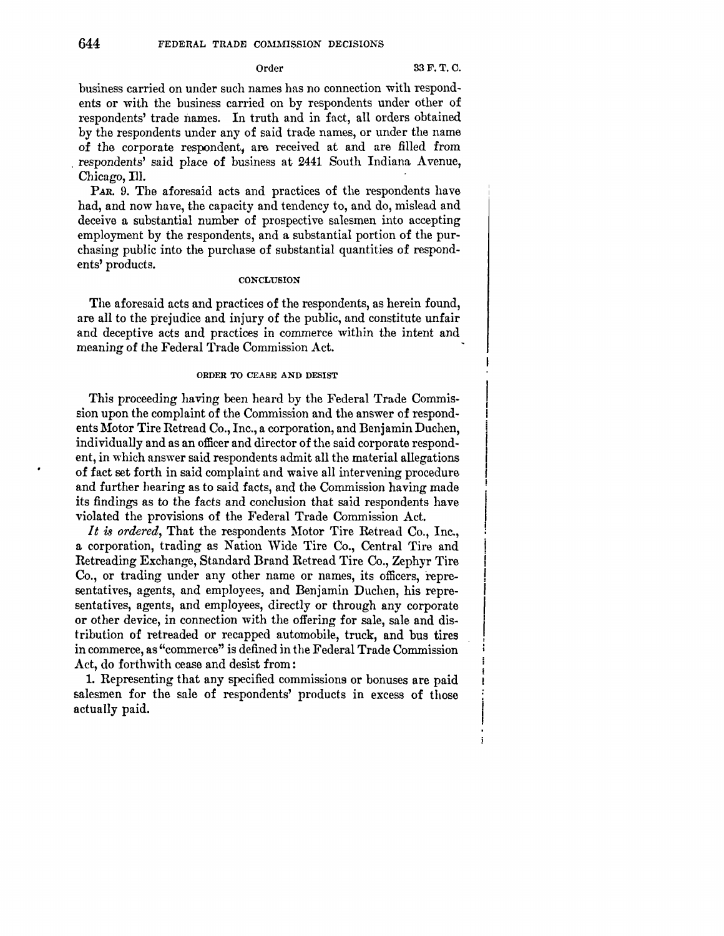# Order 33F.T.C.

business carried on under such names has no connection with respondents or with the business carried on by respondents under other of respondents' trade names. In truth and in fact, all orders obtained by the respondents under any of said trade names, or under the name of the corporate respondent; are received at and are filled from . respondents' said place **of** business at 2441 South Indiana Avenue, Chicago, Ill.

*PAR.* 9. The aforesaid acts and practices of the respondents have had, and now have, the capacity and tendency to, and do, mislead and deceive a substantial number of prospective salesmen into accepting employment by the respondents, and a substantial portion of the purchasing public into the purchase of substantial quantities of respondents' products.

## **CONCLUSION**

The aforesaid acts and practices of the respondents, as herein found, are all to the prejudice and injury of the public, and constitute unfair and deceptive acts and practices in commerce within the intent and meaning of the Federal Trade Commission Act.

## ORDER TO CEASE AND DESIST

This proceeding having been heard by the Federal Trade Commission upon the complaint of the Commission and the answer of respondents Motor Tire Retread Co., Inc., a corporation, and Benjamin Duchen, individually and as an officer and director of the said corporate respondent, in which answer said respondents admit all the material allegations of fact set forth in said complaint and waive all intervening procedure and further hearing as *to* said facts, and the Commission having made its findings as to the facts and conclusion that said respondents have violated the provisions of the Federal Trade Commission Act.

It is ordered, That the respondents Motor Tire Retread Co., Inc., a corporation, trading as Nation Wide Tire Co., Central Tire and Retreading Exchange, Standard Brand Retread Tire Co., Zephyr Tire Co., or trading under any other name or names, its officers, representatives, agents, and employees, and Benjamin Duchen, his representatives, agents, and employees, directly or through any corporate or other device, in connection with the offering for sale, sale and distribution of retreaded or recapped automobile, truck, and bus tires in commerce, as "commerce" is defined in the Federal Trade Commission Act, do forthwith cease and desist from:

1. Representing that any specified commissions or bonuses are paid salesmen for the sale of respondents' products in excess of those actually paid.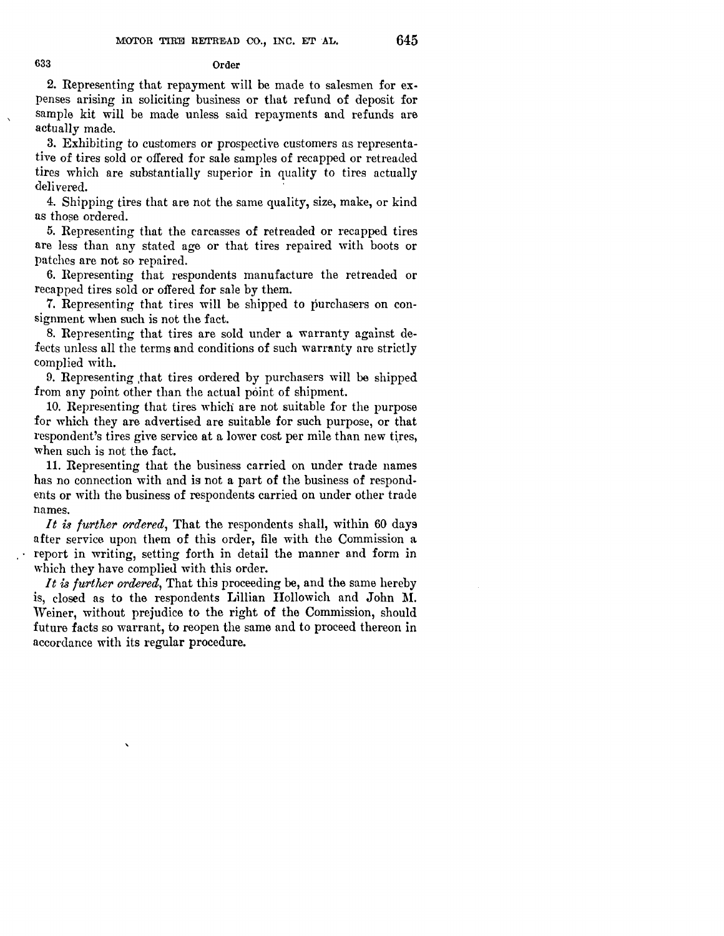## 633 Order

2. Representing that repayment will be made to salesmen for expenses arising in soliciting business or that refund of deposit for sample kit will be made unless said repayments and refunds are actually made.

3. Exhibiting to customers or prospective customers as representative of tires sold or offered for sale samples of recapped or retreaded tires which are substantially superior in quality to tires actually delivered.

4. Shipping tires that are not the same quality, size, make, or kind as those ordered.

5. Representing that the carcasses of retreaded or recapped tires are less than any stated age or that tires repaired with boots or patches are not so repaired.

6. Representing that respondents manufacture the retreaded or recapped tires sold or offered for sale by them.

7. Representing that tires will be shipped to purchasers on consignment when such is not the fact.

8. Representing that tires are sold under a warranty against defects unless all the terms and conditions of such warrnnty are strictly complied with.

9. Representing ,that tires ordered by purchasers will be shipped from any point other than the actual point of shipment.

10. Representing that tires which are not suitable for the purpose for which they are advertised are suitable for such purpose, or that respondent's tires give service at a lower cost per mile than new tires, when such is not the fact.

11. Representing that the business carried on under trade names has no connection with and is not a part of the business of respondents or with the business of respondents carried on under other trade names.

*It is further ordered,* That the respondents shall, within 60 days after service upon them of this order, file with the Commission a report in writing, setting forth in detail the manner and form in which they have complied with this order.

*It is further ordered,* That this proceeding be, and the same hereby is, closed as to the respondents Lillian Hallowich and John M. \Veiner, without prejudice to the right of the Commission, should future facts so warrant, to reopen the same and to proceed thereon in accordance with its regular procedure.